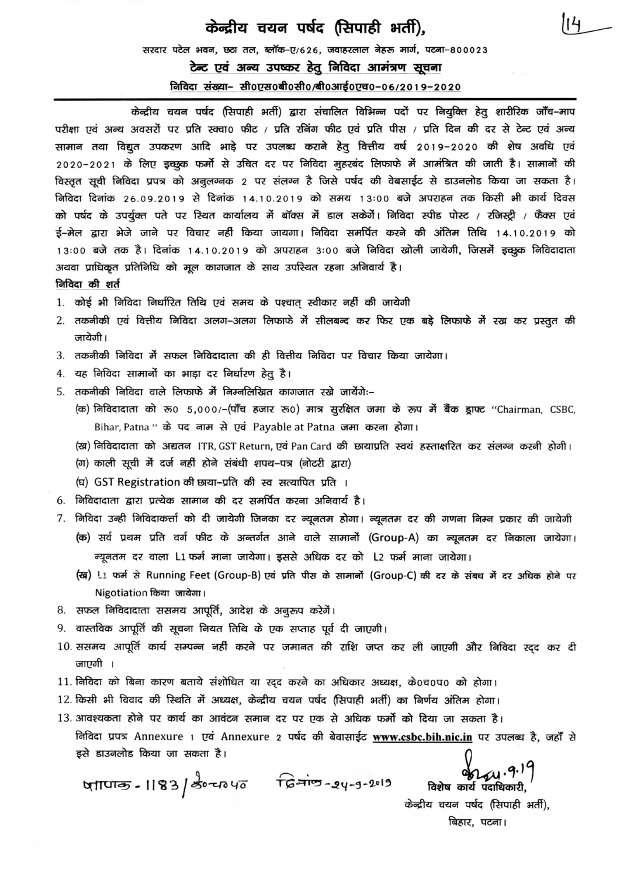# केन्द्रीय चयन पर्षद (सिपाही भर्ती),

सरदार पटेल भवन, छठा तल, ब्लॉक-ए/626, जवाहरलाल नेहरू मार्ग, पटना-800023 टेन्ट एवं अन्य उपष्कर हेतु निविदा आमंत्रण सूचना

निविदा संख्या− सी0एस0बी0सी0/बी0आई0एच0−06/2019−2020

केन्द्रीय चयन पर्षद (सिपाही भर्ती) द्वारा संचालित विभिन्न पदों पर नियुक्ति हेतु शारीरिक जाँच–माप परीक्षा एवं अन्य अवसरों पर प्रति स्क्वा0 फीट / प्रति रनिंग फीट एवं प्रति पीस / प्रति दिन की दर से टेन्ट एवं अन्य सामान तथा विद्युत उपकरण आदि भाड़े पर उपलब्ध कराने हेतू वित्तीय वर्ष 2019–2020 की शेष अवधि एवं 2020–2021 के लिए इच्छुक फर्मो से उचित दर पर निविदा मुहरबंद लिफाफे में आमंत्रित की जाती है। सामानों की विस्तृत सूची निविदा प्रपत्र को अनूलग्नक 2 पर संलग्न है जिसे पर्षद की वेबसाईट से डाउनलोड किया जा सकता है। निविदा दिनांक 26.09.2019 से दिनांक 14.10.2019 को समय 13:00 बजे अपराहन तक किसी भी कार्य दिवस को पर्षद के उपर्युक्त पते पर रिथत कार्यालय में बॉक्स में डाल सकेगें। निविदा स्पीड पोस्ट / रजिस्ट्री / फैक्स एव ई–मेल द्वारा भेजे जाने पर विचार नहीं किया जायगा। निविदा समर्पित करने की अंतिम तिथि 14.10.2019 को 13:00 बजे तक है। दिनांक 14.10.2019 को अपराहन 3:00 बजे निविदा खोली जायेगी, जिसमें इच्छुक निविदादाता अथवा प्राधिकृत प्रतिनिधि को मूल कागजात के साथ उपस्थित रहना अनिवार्य है।

- निविदा की शर्त
- 1. कोई भी निविदा निर्धारित तिथि एवं समय के पश्चात स्वीकार नहीं की जायेगी
- 2. तकनीकी एवं वित्तीय निविदा अलग-अलग लिफाफे में सीलबन्द कर फिर एक बड़े लिफाफे में रख कर प्रस्तुत की जायेगी।
- 3. तकनीकी निविदा में सफल निविदादाता की ही वित्तीय निविदा पर विचार किया जायेगा।
- 4. यह निविदा सामानों का भाड़ा दर निर्धारण हेतु है।
- 5. तकनीकी निविदा वाले लिफाफे में निम्नलिखित कागजात रखे जायेंगे:-
	- (क) निविदादाता को रू0 5,000/-(पॉॅंच हजार रू0) मात्र सुरक्षित जमा के रूप में बैंक ड्राफ्ट "Chairman, CSBC, Bihar, Patna" के पद नाम से एवं Payable at Patna जमा करना होगा।
	- (ख) निविदादाता को अद्यतन ITR, GST Return, एवं Pan Card की छायाप्रति स्वयं हस्ताक्षरित कर संलग्न करनी होगी।
	- (ग) काली सूची में दर्ज नहीं होने संबंधी शपथ-पत्र (नोटरी द्वारा)
	- (घ) GST Registration की छाया-प्रति की स्व सत्यापित प्रति ।
- 6. निविदादाता द्वारा प्रत्येक सामान की दर समर्पित करना अनिवार्य है।
- 7. निविदा उन्ही निविदाकर्त्ता को दी जायेगी जिनका दर न्यूनतम होगा। न्यूनतम दर की गणना निम्न प्रकार की जायेगी (क) सर्व प्रथम प्रति वर्ग फीट के अन्तर्गत आने वाले सामानों (Group-A) का न्यूनतम दर निकाला जायेगा। न्यूनतम दर वाला L1 फर्म माना जायेगा। इससे अधिक दर को L2 फर्म माना जायेगा।
	- (ख) L1 फर्म से Running Feet (Group-B) एवं प्रति पीस के सामानों (Group-C) की दर के संबध में दर अधिक होने पर Nigotiation किया जायेगा।
- 8. सफल निविदादाता ससमय आपूर्ति, आदेश के अनूरूप करेगें।
- 9. वास्तविक आपूर्ति की सूचना नियत तिथि के एक सप्ताह पूर्व दी जाएगी।
- 10. ससमय आपूर्ति कार्य सम्पन्न नहीं करने पर जमानत की राशि जप्त कर ली जाएगी और निविदा रद्द कर दी जाएगी ।
- 11. निविदा को बिना कारण बताये संशोधित या रद्द करने का अधिकार अध्यक्ष, के0च0प0 को होगा।
- 12. किसी भी विवाद की रिथति में अध्यक्ष, केन्द्रीय चयन पर्षद (सिपाही भर्ती) का निर्णय अंतिम होगा।
- 13. आवश्यकता होने पर कार्य का आवंटन समान दर पर एक से अधिक फर्मो को दिया जा सकता है। निविदा प्रपत्र Annexure 1 एवं Annexure 2 पर्षद की बेवासाईट www.csbc.bih.nic.in पर उपलब्ध है, जहाँ से इसे डाउनलोड किया जा सकता है।

 $\frac{1}{2}$   $\frac{1}{2}$   $\frac{1}{2}$   $\frac{1}{2}$   $\frac{1}{2}$   $\frac{1}{2}$   $\frac{1}{2}$   $\frac{1}{2}$   $\frac{1}{2}$   $\frac{1}{2}$   $\frac{1}{2}$   $\frac{1}{2}$   $\frac{1}{2}$   $\frac{1}{2}$   $\frac{1}{2}$   $\frac{1}{2}$   $\frac{1}{2}$   $\frac{1}{2}$   $\frac{1}{2}$   $\frac{1}{2}$   $\frac{1}{2}$   $\frac{1}{2}$ 

विशेष कार्य पदाधिकारी

केन्द्रीय चयन पर्षद (सिपाही भर्ती). बिहार, पटना।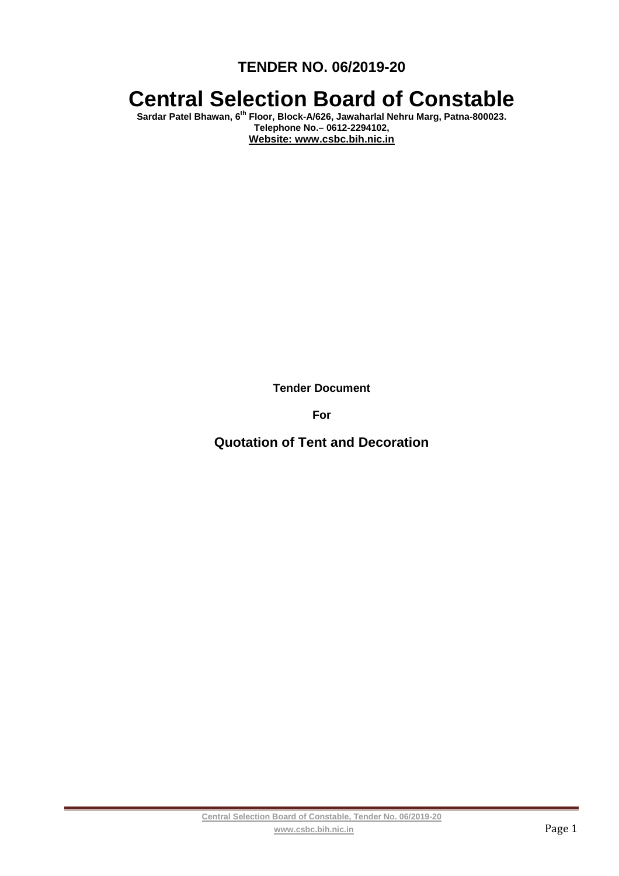**TENDER NO. 06/2019-20** 

# **Central Selection Board of Constable**

**Sardar Patel Bhawan, 6th Floor, Block-A/626, Jawaharlal Nehru Marg, Patna-800023. Telephone No.– 0612-2294102, Website: www.csbc.bih.nic.in** 

**Tender Document** 

**For** 

**Quotation of Tent and Decoration**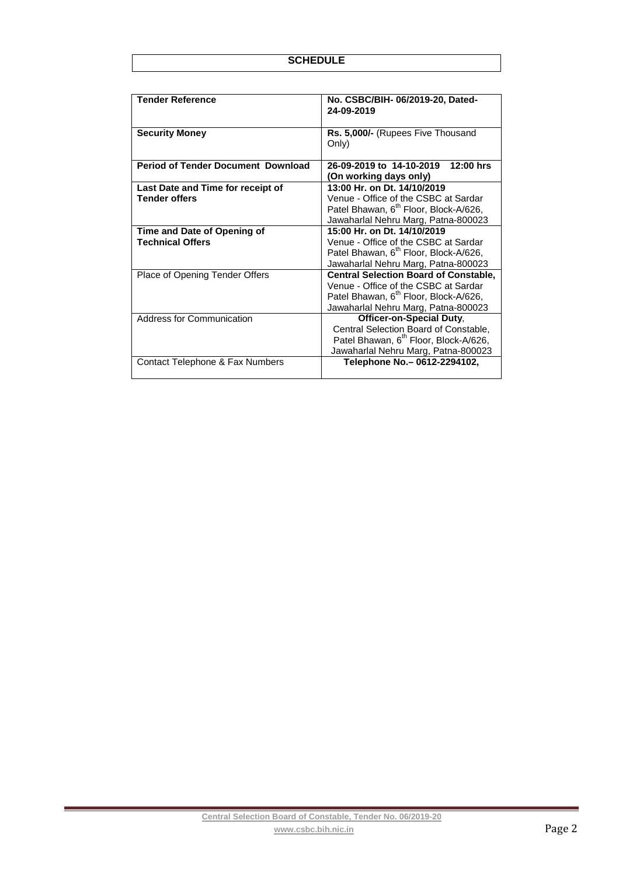| <b>Tender Reference</b>                   | No. CSBC/BIH-06/2019-20, Dated-                   |  |  |
|-------------------------------------------|---------------------------------------------------|--|--|
|                                           | 24-09-2019                                        |  |  |
|                                           |                                                   |  |  |
| <b>Security Money</b>                     | Rs. 5,000/- (Rupees Five Thousand                 |  |  |
|                                           | Only)                                             |  |  |
| <b>Period of Tender Document Download</b> | 26-09-2019 to 14-10-2019<br>$12:00$ hrs           |  |  |
|                                           | (On working days only)                            |  |  |
| Last Date and Time for receipt of         | 13:00 Hr. on Dt. 14/10/2019                       |  |  |
| <b>Tender offers</b>                      | Venue - Office of the CSBC at Sardar              |  |  |
|                                           | Patel Bhawan, 6 <sup>th</sup> Floor, Block-A/626, |  |  |
|                                           | Jawaharlal Nehru Marg, Patna-800023               |  |  |
| Time and Date of Opening of               | 15:00 Hr. on Dt. 14/10/2019                       |  |  |
| <b>Technical Offers</b>                   | Venue - Office of the CSBC at Sardar              |  |  |
|                                           | Patel Bhawan, 6 <sup>th</sup> Floor, Block-A/626, |  |  |
|                                           | Jawaharlal Nehru Marg, Patna-800023               |  |  |
| Place of Opening Tender Offers            | <b>Central Selection Board of Constable,</b>      |  |  |
|                                           | Venue - Office of the CSBC at Sardar              |  |  |
|                                           | Patel Bhawan, 6 <sup>th</sup> Floor, Block-A/626, |  |  |
|                                           | Jawaharlal Nehru Marg, Patna-800023               |  |  |
| <b>Address for Communication</b>          | <b>Officer-on-Special Duty.</b>                   |  |  |
|                                           | Central Selection Board of Constable,             |  |  |
|                                           | Patel Bhawan, 6 <sup>th</sup> Floor, Block-A/626, |  |  |
|                                           | Jawaharlal Nehru Marg, Patna-800023               |  |  |
| Contact Telephone & Fax Numbers           | Telephone No. - 0612-2294102,                     |  |  |
|                                           |                                                   |  |  |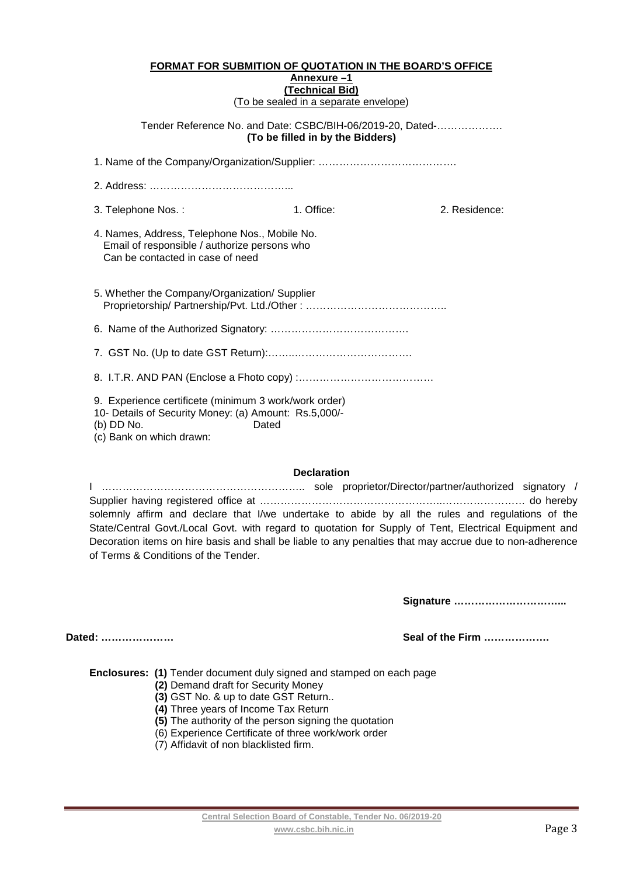### **FORMAT FOR SUBMITION OF QUOTATION IN THE BOARD'S OFFICE**

#### **Annexure –1 (Technical Bid)**

(To be sealed in a separate envelope)

Tender Reference No. and Date: CSBC/BIH-06/2019-20, Dated-………………. **(To be filled in by the Bidders)** 

|       | 1. Office:                                                                                       | 2. Residence:                                                                                                                                                                                                                                                    |  |  |
|-------|--------------------------------------------------------------------------------------------------|------------------------------------------------------------------------------------------------------------------------------------------------------------------------------------------------------------------------------------------------------------------|--|--|
|       |                                                                                                  |                                                                                                                                                                                                                                                                  |  |  |
|       |                                                                                                  |                                                                                                                                                                                                                                                                  |  |  |
|       |                                                                                                  |                                                                                                                                                                                                                                                                  |  |  |
|       |                                                                                                  |                                                                                                                                                                                                                                                                  |  |  |
|       |                                                                                                  |                                                                                                                                                                                                                                                                  |  |  |
| Dated |                                                                                                  |                                                                                                                                                                                                                                                                  |  |  |
|       | 3. Telephone Nos.:<br>Can be contacted in case of need<br>(b) DD No.<br>(c) Bank on which drawn: | 4. Names, Address, Telephone Nos., Mobile No.<br>Email of responsible / authorize persons who<br>5. Whether the Company/Organization/ Supplier<br>9. Experience certificete (minimum 3 work/work order)<br>10- Details of Security Money: (a) Amount: Rs.5,000/- |  |  |

#### **Declaration**

I ………………………………………………….. sole proprietor/Director/partner/authorized signatory / Supplier having registered office at ……………………………………………..…………………… do hereby solemnly affirm and declare that I/we undertake to abide by all the rules and regulations of the State/Central Govt./Local Govt. with regard to quotation for Supply of Tent, Electrical Equipment and Decoration items on hire basis and shall be liable to any penalties that may accrue due to non-adherence of Terms & Conditions of the Tender.

**Signature …………………………...** 

**Dated: ………………… Seal of the Firm ……………….** 

**Enclosures: (1)** Tender document duly signed and stamped on each page

- **(2)** Demand draft for Security Money
- **(3)** GST No. & up to date GST Return..
- **(4)** Three years of Income Tax Return
- **(5)** The authority of the person signing the quotation
- (6) Experience Certificate of three work/work order
- (7) Affidavit of non blacklisted firm.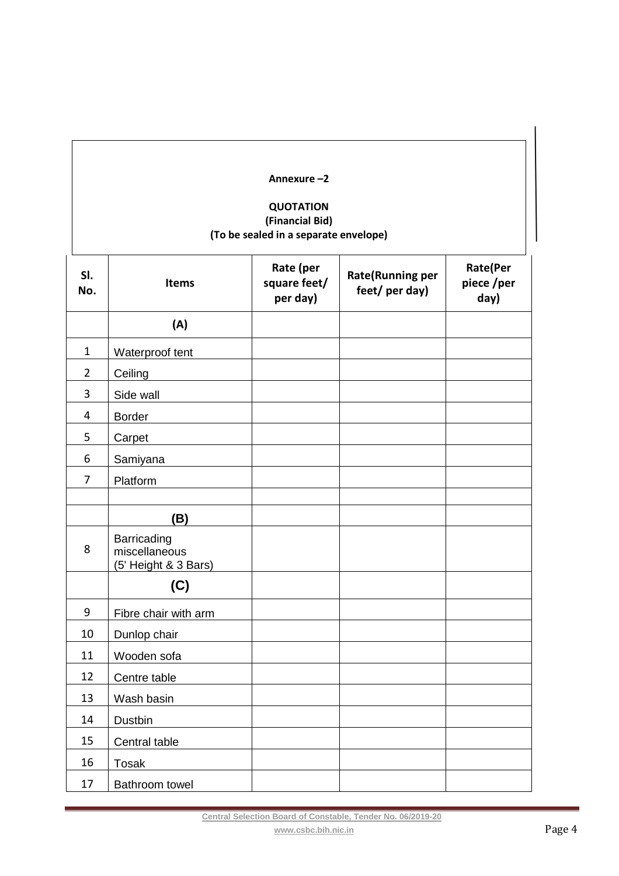## **Annexure –2**

# **QUOTATION (Financial Bid) (To be sealed in a separate envelope)**

| SI.<br>No.     | <b>Items</b>                                         | Rate (per<br>square feet/<br>per day) | <b>Rate(Running per</b><br>feet/ per day) | <b>Rate(Per</b><br>piece /per<br>day) |
|----------------|------------------------------------------------------|---------------------------------------|-------------------------------------------|---------------------------------------|
|                | (A)                                                  |                                       |                                           |                                       |
| $\mathbf{1}$   | Waterproof tent                                      |                                       |                                           |                                       |
| $\overline{2}$ | Ceiling                                              |                                       |                                           |                                       |
| 3              | Side wall                                            |                                       |                                           |                                       |
| 4              | <b>Border</b>                                        |                                       |                                           |                                       |
| 5              | Carpet                                               |                                       |                                           |                                       |
| 6              | Samiyana                                             |                                       |                                           |                                       |
| $\overline{7}$ | Platform                                             |                                       |                                           |                                       |
|                |                                                      |                                       |                                           |                                       |
|                | (B)                                                  |                                       |                                           |                                       |
| 8              | Barricading<br>miscellaneous<br>(5' Height & 3 Bars) |                                       |                                           |                                       |
|                | (C)                                                  |                                       |                                           |                                       |
| 9              | Fibre chair with arm                                 |                                       |                                           |                                       |
| 10             | Dunlop chair                                         |                                       |                                           |                                       |
| 11             | Wooden sofa                                          |                                       |                                           |                                       |
| 12             | Centre table                                         |                                       |                                           |                                       |
| 13             | Wash basin                                           |                                       |                                           |                                       |
| 14             | Dustbin                                              |                                       |                                           |                                       |
| 15             | Central table                                        |                                       |                                           |                                       |
| 16             | <b>Tosak</b>                                         |                                       |                                           |                                       |
| 17             | Bathroom towel                                       |                                       |                                           |                                       |